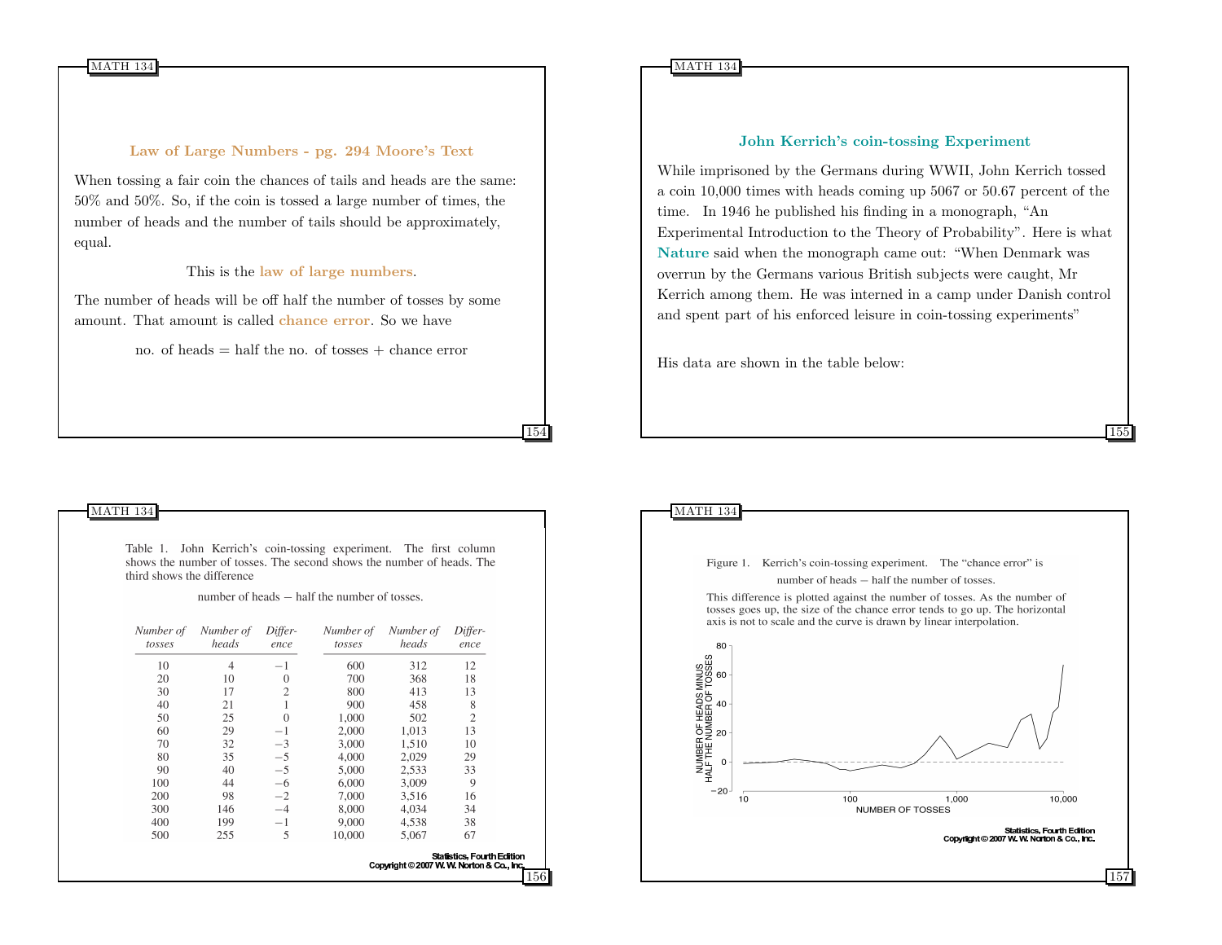#### Law of Large Numbers - pg. 294 Moore's Text

When tossing a fair coin the chances of tails and heads are the same: 50% and 50%. So, if the coin is tossed a large number of times, the number of heads and the number of tails should be approximately, equal.

#### This is the law of large numbers.

The number of heads will be off half the number of tosses by some amount. That amount is called chance error. So we have

no. of heads  $=$  half the no. of tosses  $+$  chance error

154

156

#### John Kerrich's coin-tossing Experiment

While imprisoned by the Germans during WWII, John Kerrich tossed a coin 10,000 times with heads coming up 5067 or 50.67 percent of the time. In 1946 he published his finding in a monograph, "An Experimental Introduction to the Theory of Probability". Here is what Nature said when the monograph came out: "When Denmark was overrun by the Germans various British subjects were caught, Mr Kerrich among them. He was interned in a camp under Danish control and spent part of his enforced leisure in coin-tossing experiments"

155

His data are shown in the table below:

#### MATH 134

Table 1. John Kerrich's coin-tossing experiment. The first column shows the number of tosses. The second shows the number of heads. The third shows the difference

number of heads – half the number of tosses.

| Number of<br>tosses | Number of<br>heads | Differ-<br>ence | Number of<br>tosses | Number of<br>heads                       | Differ-<br>ence                   |
|---------------------|--------------------|-----------------|---------------------|------------------------------------------|-----------------------------------|
| 10                  | 4                  | $-1$            | 600                 | 312                                      | 12                                |
| 20                  | 10                 | $\theta$        | 700                 | 368                                      | 18                                |
| 30                  | 17                 | 2               | 800                 | 413                                      | 13                                |
| 40                  | 21                 |                 | 900                 | 458                                      | 8                                 |
| 50                  | 25                 | $\theta$        | 1,000               | 502                                      | $\overline{c}$                    |
| 60                  | 29                 | $-1$            | 2,000               | 1,013                                    | 13                                |
| 70                  | 32                 | $-3$            | 3,000               | 1.510                                    | 10                                |
| 80                  | 35                 | $-5$            | 4,000               | 2,029                                    | 29                                |
| 90                  | 40                 | $-5$            | 5,000               | 2,533                                    | 33                                |
| 100                 | 44                 | $-6$            | 6,000               | 3,009                                    | 9                                 |
| 200                 | 98                 | $-2$            | 7,000               | 3.516                                    | 16                                |
| 300                 | 146                | $-4$            | 8,000               | 4,034                                    | 34                                |
| 400                 | 199                | $-1$            | 9.000               | 4.538                                    | 38                                |
| 500                 | 255                | 5               | 10,000              | 5,067                                    | 67                                |
|                     |                    |                 |                     | Copyright © 2007 W. W. Norton & Co., Inc | <b>Statistics, Fourth Edition</b> |

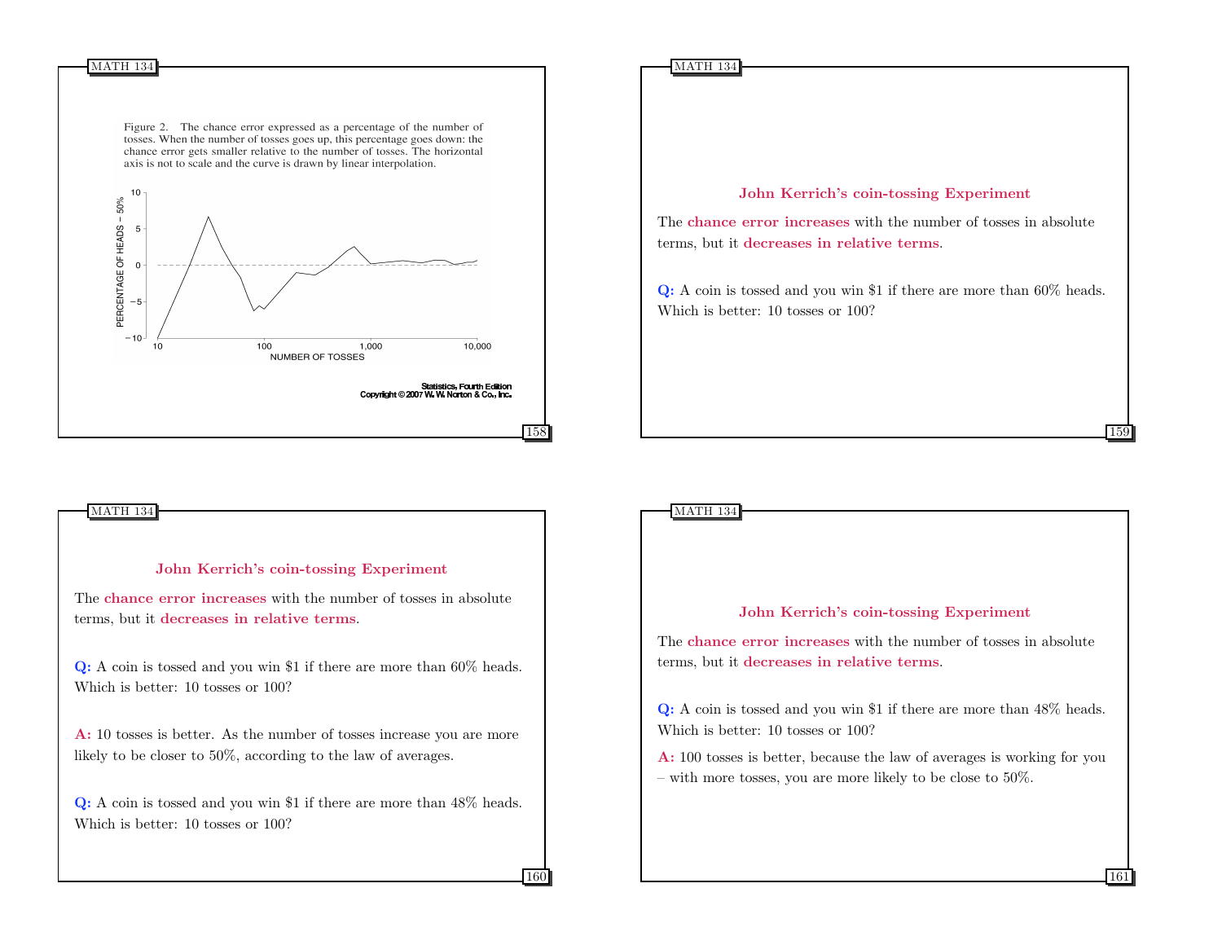



## John Kerrich's coin-tossing Experiment The chance error increases with the number of tosses in absolute terms, but it decreases in relative terms. Q: A coin is tossed and you win \$1 if there are more than 60% heads. Which is better: 10 tosses or 100? A: 10 tosses is better. As the number of tosses increase you are more likely to be closer to 50%, according to the law of averages. Q: A coin is tossed and you win \$1 if there are more than 48% heads. Which is better: 10 tosses or 100? MATH 134

160

# John Kerrich's coin-tossing Experiment The chance error increases with the number of tosses in absolute terms, but it decreases in relative terms. Q: A coin is tossed and you win \$1 if there are more than 48% heads. Which is better: 10 tosses or 100? A: 100 tosses is better, because the law of averages is working for you – with more tosses, you are more likely to be close to  $50\%$ . 161

MATH 134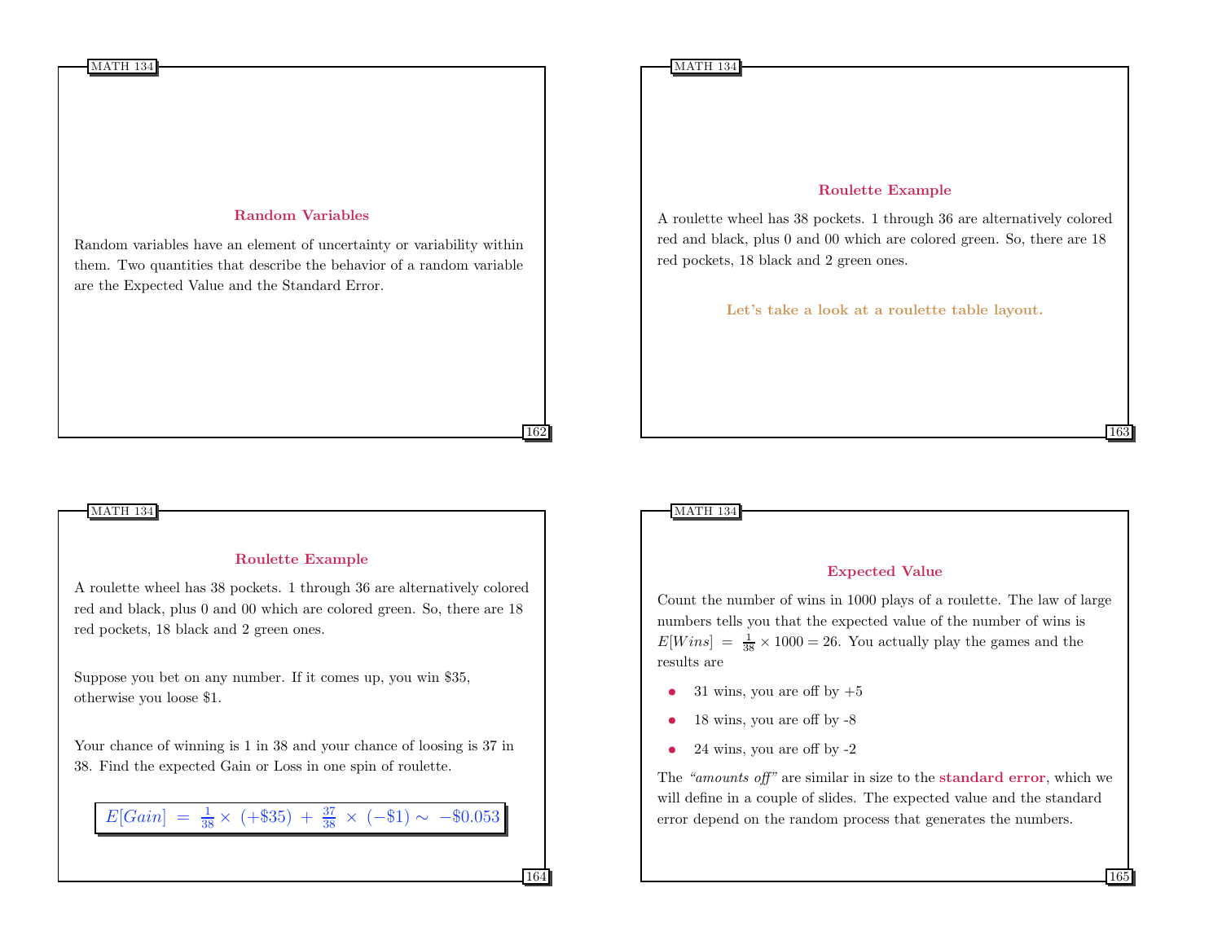## Random Variables

Random variables have an element of uncertainty or variability within them. Two quantities that describe the behavior of a random variable are the Expected Value and the Standard Error.

#### MATH 134

#### Roulette Example

A roulette wheel has 38 pockets. 1 through 36 are alternatively colored red and black, plus 0 and 00 which are colored green. So, there are 18 red pockets, 18 black and 2 green ones.

Suppose you bet on any number. If it comes up, you win \$35, otherwise you loose \$1.

Your chance of winning is 1 in 38 and your chance of loosing is 37 in 38. Find the expected Gain or Loss in one spin of roulette.

 $E[Gain] = \frac{1}{38} \times (+\$35) + \frac{37}{38} \times (-\$1) \sim -\$0.053$ 

#### Roulette Example

A roulette wheel has 38 pockets. 1 through 36 are alternatively colored red and black, plus 0 and 00 which are colored green. So, there are 18 red pockets, 18 black and 2 green ones.

Let's take a look at a roulette table layout.

#### MATH 134

162

164

#### Expected Value

Count the number of wins in 1000 plays of a roulette. The law of large numbers tells you that the expected value of the number of wins is  $E[Wins] = \frac{1}{38} \times 1000 = 26$ . You actually play the games and the results are

- 31 wins, you are off by  $+5$
- 18 wins, you are off by -8
- $\bullet$  24 wins, you are off by  $-2$

The "amounts off" are similar in size to the **standard error**, which we will define in a couple of slides. The expected value and the standard error depend on the random process that generates the numbers.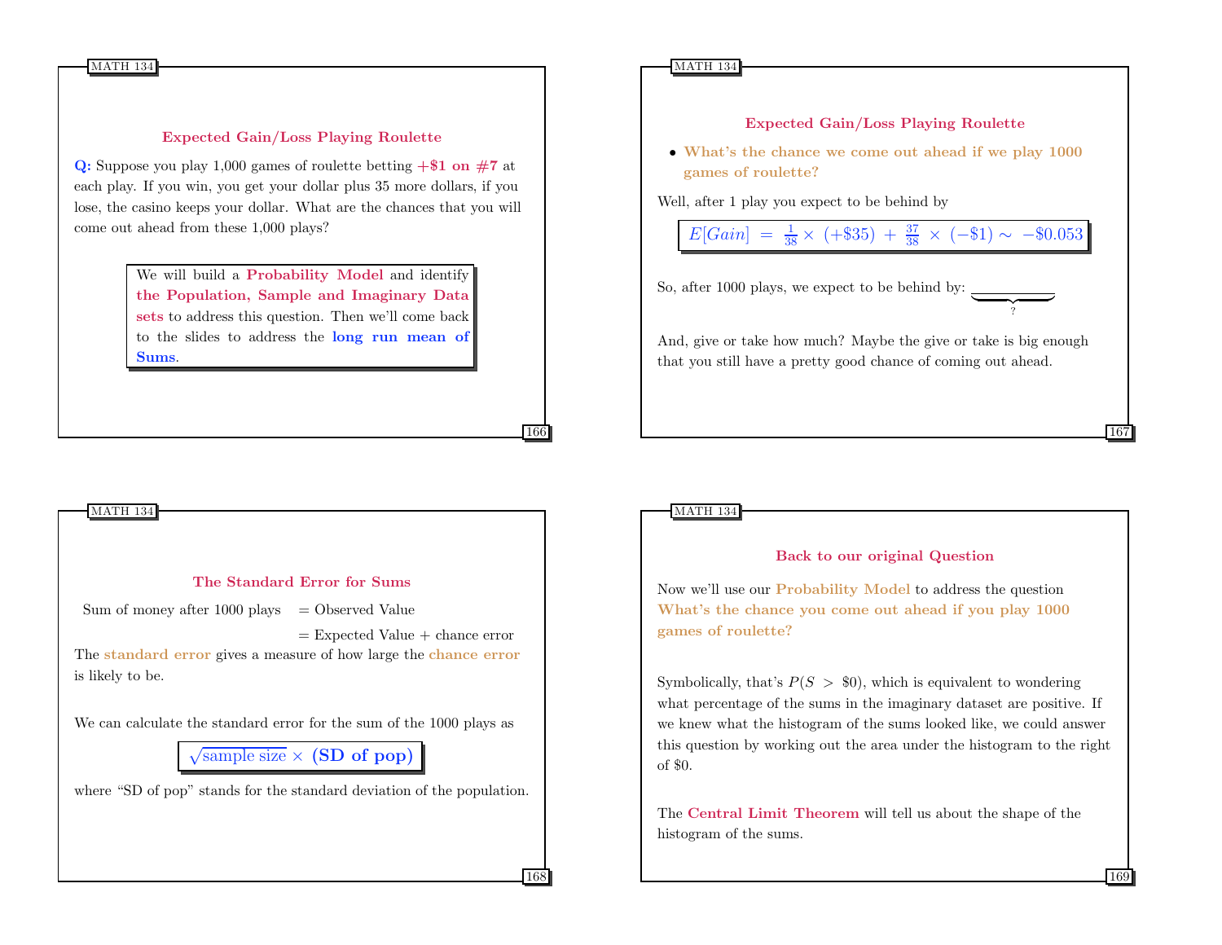## Expected Gain/Loss Playing Roulette

Q: Suppose you play 1,000 games of roulette betting  $+\$1$  on  $#7$  at each play. If you win, you get your dollar plus 35 more dollars, if you lose, the casino keeps your dollar. What are the chances that you will come out ahead from these 1,000 plays?

> We will build a Probability Model and identify the Population, Sample and Imaginary Data sets to address this question. Then we'll come back to the slides to address the long run mean of Sums.

## The Standard Error for Sums Sum of money after  $1000$  plays = Observed Value  $=$  Expected Value  $+$  chance error The standard error gives a measure of how large the chance error is likely to be. We can calculate the standard error for the sum of the 1000 plays as  $\sqrt{\text{sample size}} \times (\text{SD of pop})$ where "SD of pop" stands for the standard deviation of the population. MATH 134 168

#### MATH 134

## Expected Gain/Loss Playing Roulette

• What's the chance we come out ahead if we play 1000 games of roulette?

Well, after 1 play you expect to be behind by

$$
E[Gain] = \frac{1}{38} \times (+\$35) + \frac{37}{38} \times (-\$1) \sim -\$0.053
$$

 $\overbrace{?}$ 

So, after 1000 plays, we expect to be behind by:

And, give or take how much? Maybe the give or take is big enough that you still have a pretty good chance of coming out ahead.

MATH 134

166

#### Back to our original Question

Now we'll use our Probability Model to address the question What's the chance you come out ahead if you play 1000 games of roulette?

Symbolically, that's  $P(S > $0)$ , which is equivalent to wondering what percentage of the sums in the imaginary dataset are positive. If we knew what the histogram of the sums looked like, we could answer this question by working out the area under the histogram to the right of \$0.

The Central Limit Theorem will tell us about the shape of the histogram of the sums.

169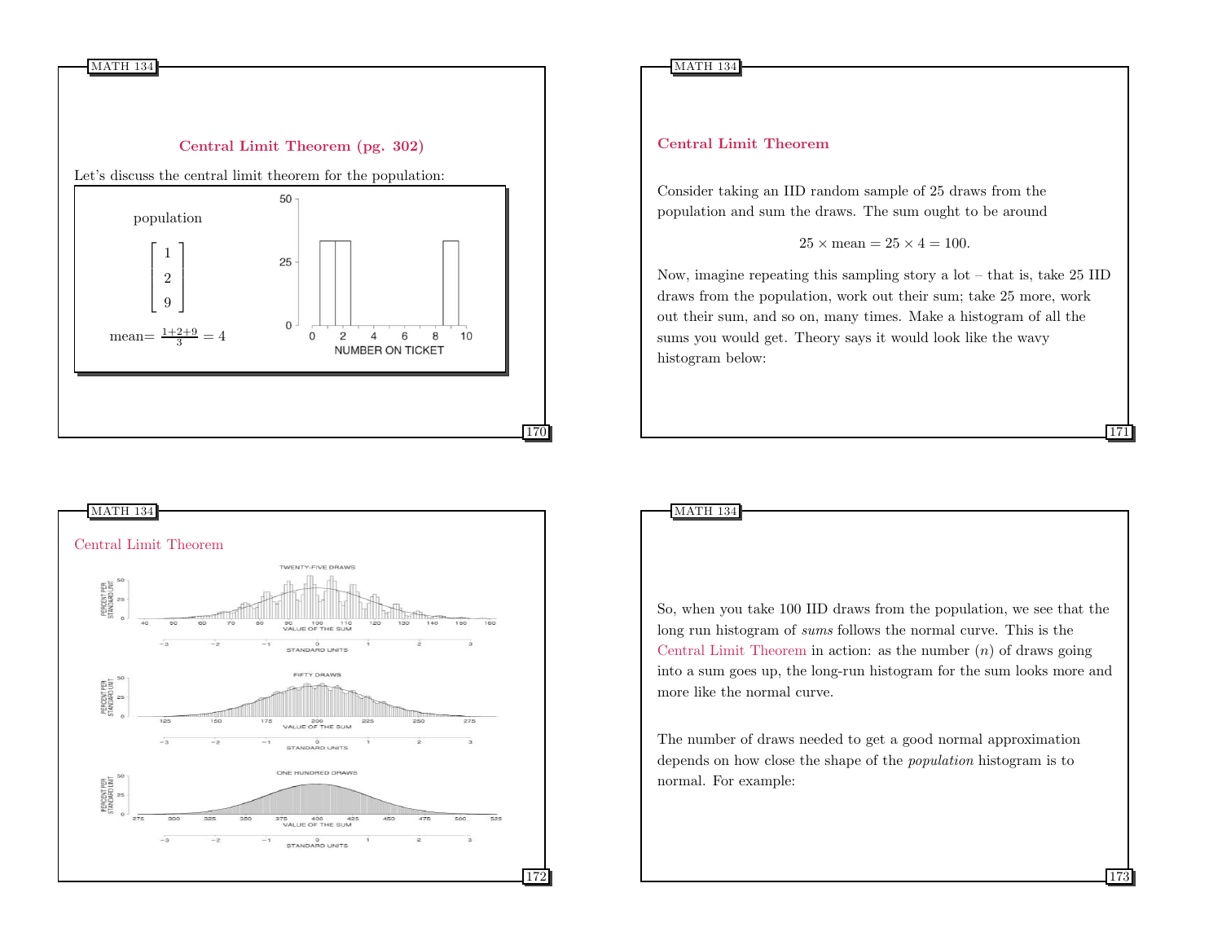



MATH 134

## Central Limit Theorem

Consider taking an IID random sample of 25 draws from the population and sum the draws. The sum ought to be around

## $25 \times$  mean =  $25 \times 4 = 100$ .

Now, imagine repeating this sampling story a lot – that is, take 25 IID draws from the population, work out their sum; take 25 more, work out their sum, and so on, many times. Make a histogram of all the sums you would get. Theory says it would look like the wavy histogram below:

171

173

So, when you take 100 IID draws from the population, we see that the long run histogram of sums follows the normal curve. This is the Central Limit Theorem in action: as the number  $(n)$  of draws going into a sum goes up, the long-run histogram for the sum looks more and more like the normal curve.

The number of draws needed to get a good normal approximation depends on how close the shape of the population histogram is to normal. For example: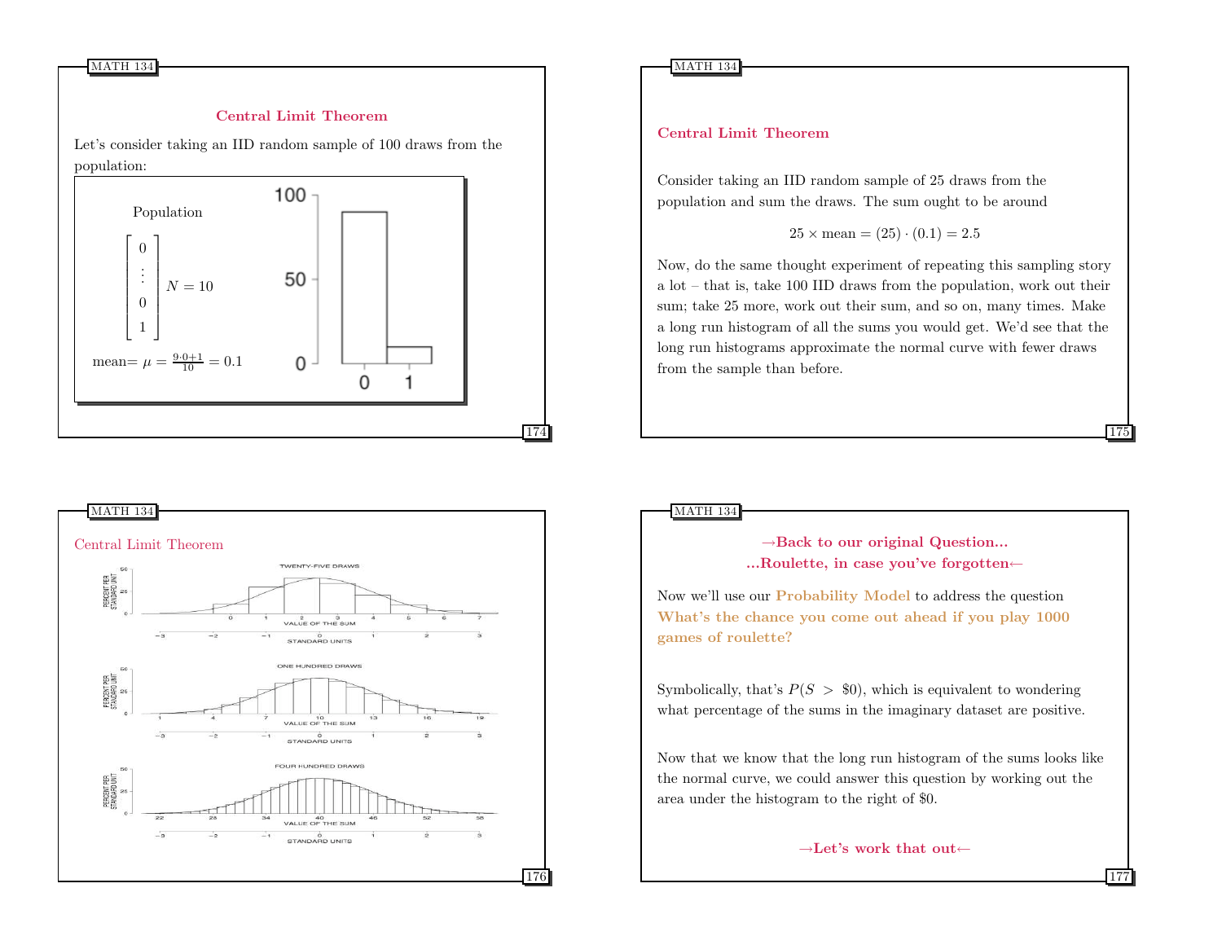## Central Limit Theorem

Let's consider taking an IID random sample of 100 draws from the population:





## Central Limit Theorem

Consider taking an IID random sample of 25 draws from the population and sum the draws. The sum ought to be around

$$
25 \times \text{mean} = (25) \cdot (0.1) = 2.5
$$

Now, do the same thought experiment of repeating this sampling story a lot – that is, take 100 IID draws from the population, work out their sum; take 25 more, work out their sum, and so on, many times. Make a long run histogram of all the sums you would get. We'd see that the long run histograms approximate the normal curve with fewer draws from the sample than before.

MATH 134

 $\rightarrow$ Back to our original Question... ...Roulette, in case you've forgotten← 175

177

Now we'll use our Probability Model to address the question What's the chance you come out ahead if you play 1000 games of roulette?

Symbolically, that's  $P(S > $0)$ , which is equivalent to wondering what percentage of the sums in the imaginary dataset are positive.

Now that we know that the long run histogram of the sums looks like the normal curve, we could answer this question by working out the area under the histogram to the right of \$0.

```
→Let's work that out←
```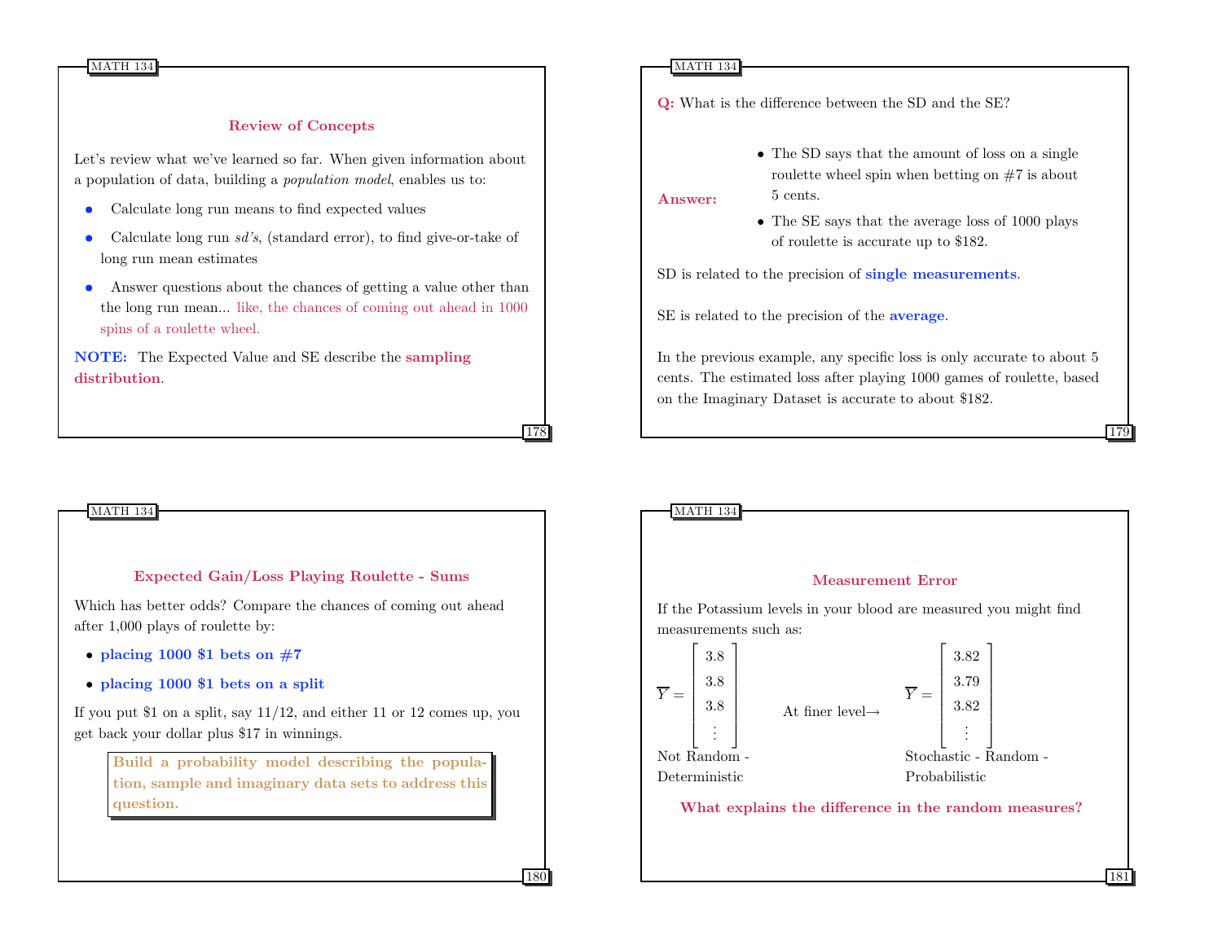MATH 134

#### Review of Concepts

Let's review what we've learned so far. When given information about a population of data, building a population model, enables us to:

- Calculate long run means to find expected values
- Calculate long run *sd's*, (standard error), to find give-or-take of long run mean estimates
- Answer questions about the chances of getting a value other than the long run mean... like, the chances of coming out ahead in 1000 spins of a roulette wheel.

NOTE: The Expected Value and SE describe the sampling distribution.

#### MATH 134

Q: What is the difference between the SD and the SE?

• The SD says that the amount of loss on a single roulette wheel spin when betting on #7 is about 5 cents.

Answer:

• The SE says that the average loss of 1000 plays of roulette is accurate up to \$182.

179

SD is related to the precision of single measurements.

SE is related to the precision of the **average**.

In the previous example, any specific loss is only accurate to about 5 cents. The estimated loss after playing 1000 games of roulette, based on the Imaginary Dataset is accurate to about \$182.



Which has better odds? Compare the chances of coming out ahead after 1,000 plays of roulette by:

- placing 1000 \$1 bets on  $#7$
- placing 1000 \$1 bets on a split

If you put \$1 on a split, say 11/12, and either 11 or 12 comes up, you get back your dollar plus \$17 in winnings.

Build a probability model describing the population, sample and imaginary data sets to address this question.



178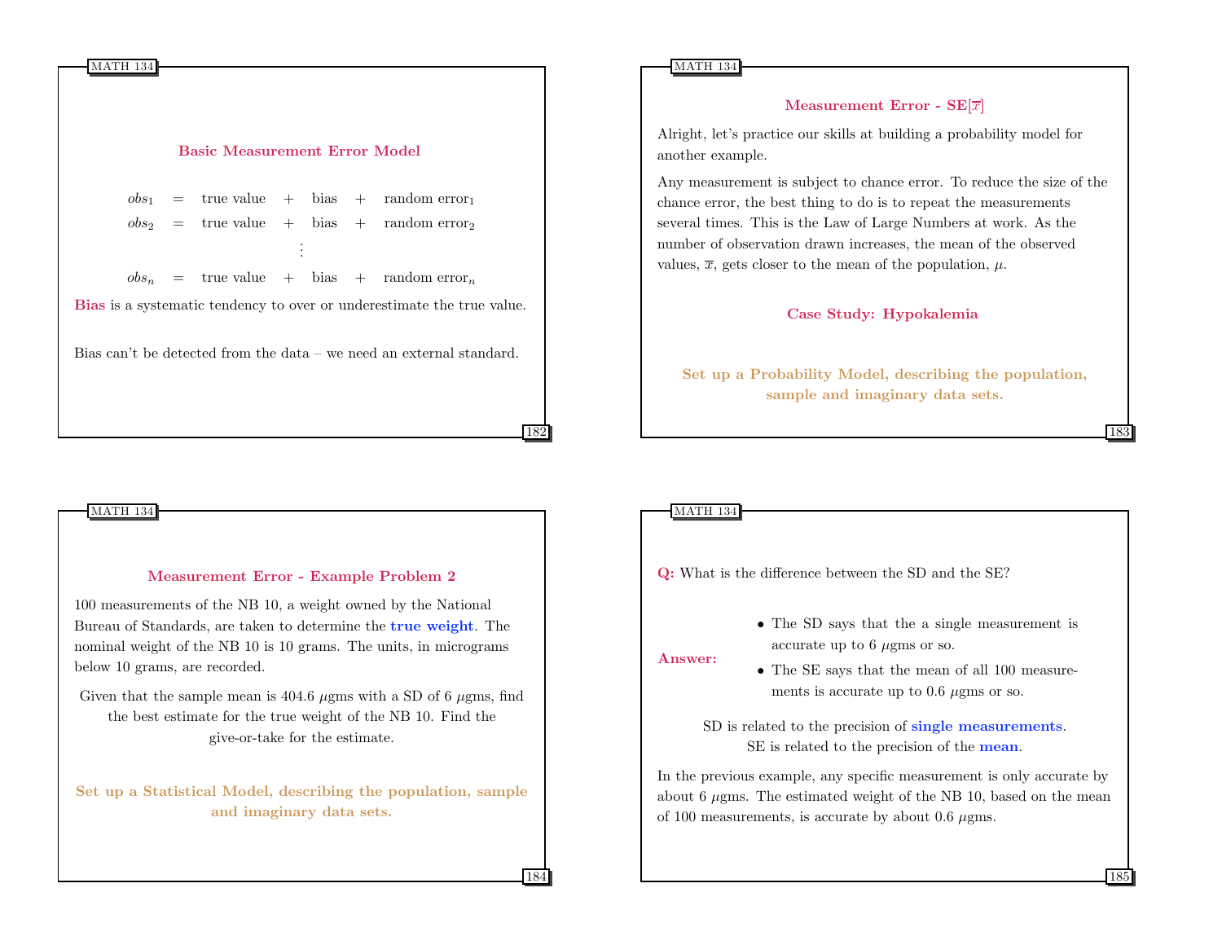

## Basic Measurement Error Model

 $obs_1$  = true value + bias + random error<sub>1</sub>  $obs<sub>2</sub>$  = true value + bias + random error<sub>2</sub> . . .  $obs_n$  = true value + bias + random error<sub>n</sub> Bias is a systematic tendency to over or underestimate the true value. Bias can't be detected from the data – we need an external standard.

## Measurement Error - Example Problem 2

100 measurements of the NB 10, a weight owned by the National Bureau of Standards, are taken to determine the true weight. The nominal weight of the NB 10 is 10 grams. The units, in micrograms below 10 grams, are recorded.

Given that the sample mean is 404.6  $\mu$ gms with a SD of 6  $\mu$ gms, find the best estimate for the true weight of the NB 10. Find the give-or-take for the estimate.

Set up a Statistical Model, describing the population, sample and imaginary data sets.

MATH 134

## Measurement Error -  $SE[\overline{x}]$

Alright, let's practice our skills at building a probability model for another example.

Any measurement is subject to chance error. To reduce the size of the chance error, the best thing to do is to repeat the measurements several times. This is the Law of Large Numbers at work. As the number of observation drawn increases, the mean of the observed values,  $\overline{x}$ , gets closer to the mean of the population,  $\mu$ .

#### Case Study: Hypokalemia

Set up a Probability Model, describing the population, sample and imaginary data sets.

## MATH 134

182

184

Q: What is the difference between the SD and the SE?

• The SD says that the a single measurement is accurate up to  $6 \mu$ gms or so.

Answer:

• The SE says that the mean of all 100 measurements is accurate up to  $0.6 \mu$ gms or so.

SD is related to the precision of single measurements. SE is related to the precision of the **mean**.

In the previous example, any specific measurement is only accurate by about 6  $\mu$ gms. The estimated weight of the NB 10, based on the mean of 100 measurements, is accurate by about 0.6  $\mu$ gms.